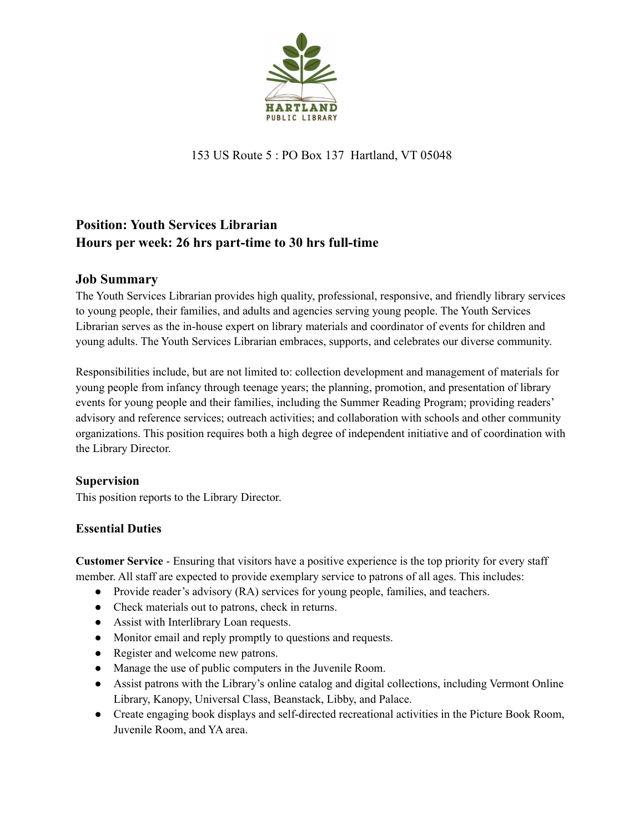

153 US Route 5 : PO Box 137 Hartland, VT 05048

# **Position: Youth Services Librarian Hours per week: 26 hrs part-time to 30 hrs full-time**

## **Job Summary**

The Youth Services Librarian provides high quality, professional, responsive, and friendly library services to young people, their families, and adults and agencies serving young people. The Youth Services Librarian serves as the in-house expert on library materials and coordinator of events for children and young adults. The Youth Services Librarian embraces, supports, and celebrates our diverse community.

Responsibilities include, but are not limited to: collection development and management of materials for young people from infancy through teenage years; the planning, promotion, and presentation of library events for young people and their families, including the Summer Reading Program; providing readers' advisory and reference services; outreach activities; and collaboration with schools and other community organizations. This position requires both a high degree of independent initiative and of coordination with the Library Director.

## **Supervision**

This position reports to the Library Director.

## **Essential Duties**

**Customer Service** - Ensuring that visitors have a positive experience is the top priority for every staff member. All staff are expected to provide exemplary service to patrons of all ages. This includes:

- Provide reader's advisory (RA) services for young people, families, and teachers.
- Check materials out to patrons, check in returns.
- Assist with Interlibrary Loan requests.
- Monitor email and reply promptly to questions and requests.
- Register and welcome new patrons.
- Manage the use of public computers in the Juvenile Room.
- Assist patrons with the Library's online catalog and digital collections, including Vermont Online Library, Kanopy, Universal Class, Beanstack, Libby, and Palace.
- Create engaging book displays and self-directed recreational activities in the Picture Book Room, Juvenile Room, and YA area.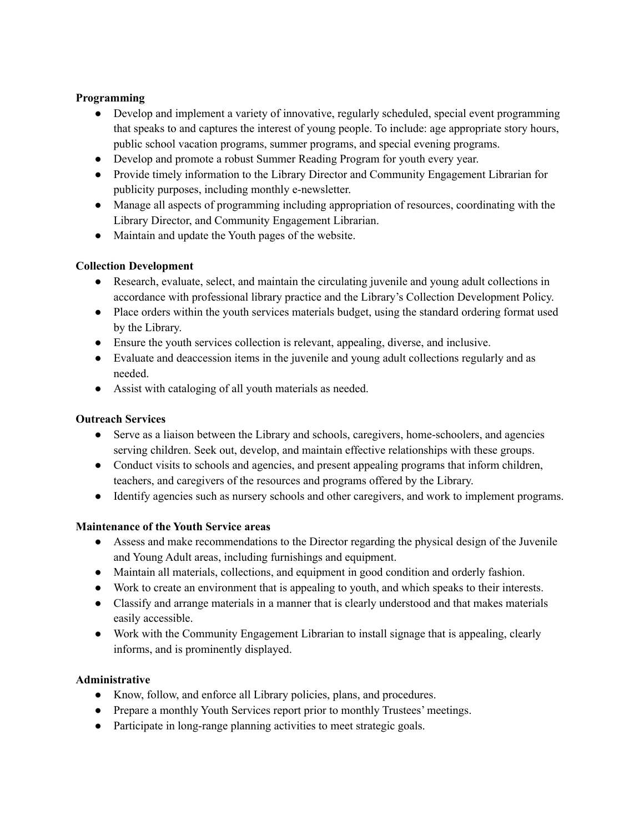#### **Programming**

- Develop and implement a variety of innovative, regularly scheduled, special event programming that speaks to and captures the interest of young people. To include: age appropriate story hours, public school vacation programs, summer programs, and special evening programs.
- Develop and promote a robust Summer Reading Program for youth every year.
- Provide timely information to the Library Director and Community Engagement Librarian for publicity purposes, including monthly e-newsletter.
- Manage all aspects of programming including appropriation of resources, coordinating with the Library Director, and Community Engagement Librarian.
- Maintain and update the Youth pages of the website.

### **Collection Development**

- Research, evaluate, select, and maintain the circulating juvenile and young adult collections in accordance with professional library practice and the Library's Collection Development Policy.
- Place orders within the youth services materials budget, using the standard ordering format used by the Library.
- Ensure the youth services collection is relevant, appealing, diverse, and inclusive.
- Evaluate and deaccession items in the juvenile and young adult collections regularly and as needed.
- Assist with cataloging of all youth materials as needed.

#### **Outreach Services**

- Serve as a liaison between the Library and schools, caregivers, home-schoolers, and agencies serving children. Seek out, develop, and maintain effective relationships with these groups.
- Conduct visits to schools and agencies, and present appealing programs that inform children, teachers, and caregivers of the resources and programs offered by the Library.
- Identify agencies such as nursery schools and other caregivers, and work to implement programs.

#### **Maintenance of the Youth Service areas**

- Assess and make recommendations to the Director regarding the physical design of the Juvenile and Young Adult areas, including furnishings and equipment.
- Maintain all materials, collections, and equipment in good condition and orderly fashion.
- Work to create an environment that is appealing to youth, and which speaks to their interests.
- Classify and arrange materials in a manner that is clearly understood and that makes materials easily accessible.
- Work with the Community Engagement Librarian to install signage that is appealing, clearly informs, and is prominently displayed.

#### **Administrative**

- Know, follow, and enforce all Library policies, plans, and procedures.
- Prepare a monthly Youth Services report prior to monthly Trustees' meetings.
- Participate in long-range planning activities to meet strategic goals.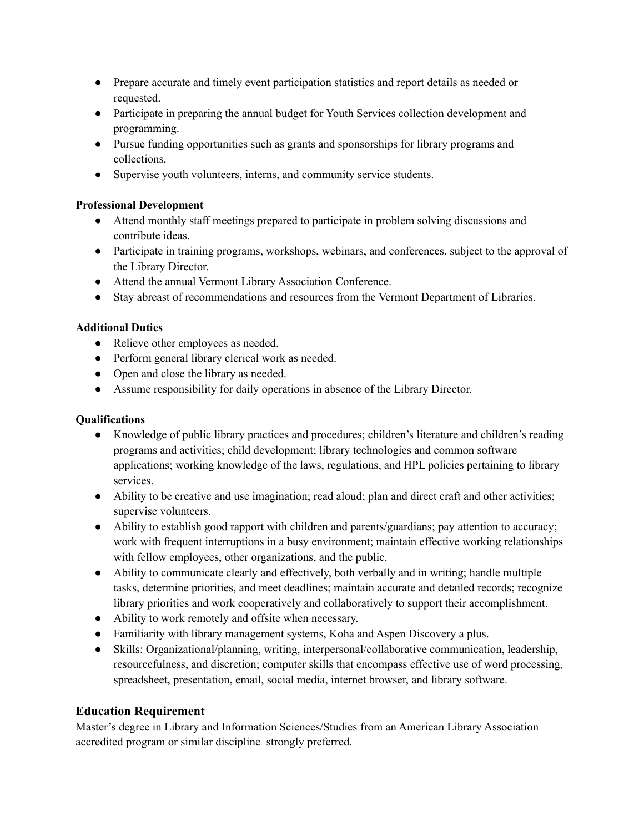- Prepare accurate and timely event participation statistics and report details as needed or requested.
- Participate in preparing the annual budget for Youth Services collection development and programming.
- Pursue funding opportunities such as grants and sponsorships for library programs and collections.
- Supervise youth volunteers, interns, and community service students.

#### **Professional Development**

- Attend monthly staff meetings prepared to participate in problem solving discussions and contribute ideas.
- Participate in training programs, workshops, webinars, and conferences, subject to the approval of the Library Director.
- Attend the annual Vermont Library Association Conference.
- Stay abreast of recommendations and resources from the Vermont Department of Libraries.

#### **Additional Duties**

- Relieve other employees as needed.
- Perform general library clerical work as needed.
- Open and close the library as needed.
- Assume responsibility for daily operations in absence of the Library Director.

#### **Qualifications**

- Knowledge of public library practices and procedures; children's literature and children's reading programs and activities; child development; library technologies and common software applications; working knowledge of the laws, regulations, and HPL policies pertaining to library services.
- Ability to be creative and use imagination; read aloud; plan and direct craft and other activities; supervise volunteers.
- Ability to establish good rapport with children and parents/guardians; pay attention to accuracy; work with frequent interruptions in a busy environment; maintain effective working relationships with fellow employees, other organizations, and the public.
- Ability to communicate clearly and effectively, both verbally and in writing; handle multiple tasks, determine priorities, and meet deadlines; maintain accurate and detailed records; recognize library priorities and work cooperatively and collaboratively to support their accomplishment.
- Ability to work remotely and offsite when necessary.
- Familiarity with library management systems, Koha and Aspen Discovery a plus.
- Skills: Organizational/planning, writing, interpersonal/collaborative communication, leadership, resourcefulness, and discretion; computer skills that encompass effective use of word processing, spreadsheet, presentation, email, social media, internet browser, and library software.

#### **Education Requirement**

Master's degree in Library and Information Sciences/Studies from an American Library Association accredited program or similar discipline strongly preferred.